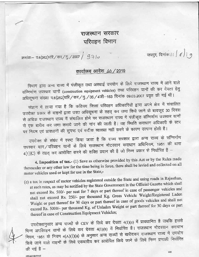## राजस्थान सरकार परिवहन विभाग

क्रमांकः– प.6(262)परि / कर / मु. / 2007 / 9710

## कार्यालय आदेश 10 / 2019

विभाग द्वारा अन्य राज्य में पंजीकृत तथा अस्थाई उपयोग के लिये राजस्थान राज्य में आने वाले संन्निर्माण उपस्कर यानों (construction equipment vehicles) तथा परिवहन यानों की कर देयता हेतु अधिसूचना संख्या प.6(252)परि / कर / मु. / 05 / 4जी-163 दिनांक 09.03.2007 प्रवृत की गई थी।

संज्ञान में लाया गया है कि कतिपय जिला परिवहन अधिकारियों द्वारा अपने क्षेत्र में संचालित उपरोक्त प्रकार के वाहनों द्वारा उक्त अधिसूचना के तहत् कर ज़मा किये जाने के बावजूद 30 दिवस से अधिक राजस्थान राज्य में संचालित होने पर राजस्थान राज्य में पंजीकृत संन्निर्माण उपस्कर यानों से एक बारीय कर जमा कराये जाने की मांग की जाती है। यह स्थिति कराधान अधिकारी के स्तर पर नियम एवं प्रावधानों की सुपष्ट एवं सटीक व्याख्या नहीं करने के कारण उत्पन्न होती है।

उपरोक्त के संबंध में स्पष्ट किया जाता है कि राज्य सरकार द्वारा अन्य राज्य के संन्निर्माण उपस्कर यान/परिवहन यानों के लिये राजस्थान मोटरयान कराधान अधिनियम, 1951 की धारा 4(1)(C) के तहत् कर आरोपित करने की शक्ति प्रदान की है जो निम्न प्रकार से निर्धारित है –

4. Imposition of tax.- (1) Save as otherwise provided by this Act or by the Rules made thereunder or any other law for the time being in force, there shall be levied and collected on all motor vehicles used or kept for use in the State,-

(c) a tax in respect of motor vehicles registered outside the State and using roads in Rajasthan, at such rates, as may be notified by the State Government in the Official Gazette which shall not exceed Rs. 500/- per seat for 7 days or part thereof in case of passenger vehicles and shall not exceed Rs. 250/- per thousand Kg. Gross Vehicle Weight/Registered Laden Weight or part thereof for 30 days or part thereof in case of goods vehicles and shall not exceed Rs. 5000/- per thousand Kg. of Unladen Weight or part thereof for 30 days or part thereof in case of Construction Equipment Vehicles;

उपरोक्तानुसार अन्य राज्यों के CEV के लिये कर देयता 4(1)(c) में प्रावधानित है जबकि इससे भिन्न अपरिवहन यानों के लिये कर देयता 4(1)(b) में निर्धारित है। राजस्थान मोटरयान कराधान नियम, 1951 के नियम 4(A)(i)(a) के अनुसार अन्य राज्यों से खरीदकर राजस्थान राज्य में उपयोग किये जाने वाले वाहनों के लिये एकबारीय कर आरोपित किये जाने के लिये निम्न प्रणाली निर्धारित की गई है -

OfficeOrderHindi

148

जयपुर, दिनांकः ।  $\int$   $\delta$   $\int$  9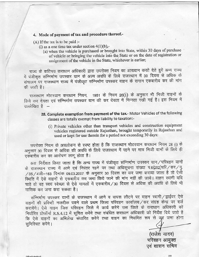## 4. Mode of payment of tax and procedure thereof.-

 $(A)$  If the tax is to be paid :-

- (i) as a one time tax under section  $4(1)(b)$ ,-
	- (a) when the vehicle is purchased or brought into State, within 30 days of purchase of vehicle or bringing the vehicle into the State or on the date of registration or assignment of the vehicle in the State, whichever is earlier;

राज्य के कतिपय कराधान अधिकारी द्वारा उपरोक्त नियम का आख्यान करते देते हुये अन्य राज्य में पंजीकृत संन्निर्माण उपस्कर यान के अल्प अवधि के लिये राजस्थान में 30 दिवस से अधिक के संचालन पर राजस्थान राज्य में पंजीकृत संन्निर्माण उपस्कर वाहन के समान एकबारीय कर की मांग की जाती है।

राजस्थान मोटरयान कराधान नियम, 1951 के नियम 28(i) के अनुसार भी निजी वाहनों के लिये कर देयता एवं संन्निर्माण उपस्कर यान की कर देयता में भिन्नता रखी गई है। इस नियम में उल्लेखित है

- 28. Complete exemption from payment of the tax.- Motor Vehicles of the following classes are totally exempt from liability to taxation:-
	- (i) Private vehicles other than transport vehicles and construction equipment vehicles registered outside Rajasthan, brought temporarily in Rajasthan and used or kept for use therein for a period not exceeding 30 days:

उपरोक्त नियम के अवलोकन से स्पष्ट होता है कि राजस्थान मोटरयान कराधान नियम 28 (i) के अनुसार 30 दिवस से अधिक की अवधि के लिये राजस्थान में रहने पर मात्र निजी यानों के लिये ही एकबारीय कर का आरोपण लागू होता है।

अतः निर्देशत किया जाता है कि अन्य राज्य में पंजीकृत संन्निर्माण उपस्कर यान ⁄ परिवहन यानों के राजस्थान राज्य में आने एवं निरंतर रहने पर तथा अधिसूचना संख्या प.6(252)परि/कर/मु.  $/$ 05/4जी–163 दिनांक 09.03.2007 के अनुसार 30 दिवस का कर जमा कराया जाता है तो ऐसी स्थिति में ऐसे वाहनों से एकबारीय कर जमा किये जाने की मांग नहीं की जाये। वाहन स्वामी यदि चाहे तो वह स्वयं स्वेच्छा से ऐसे मामलों में एकबारीय/30 दिवस से अधिक की अवधि के लिये भी मासिक कर जमा करा सकता है।

निर्धारत प्राफामा R.S.4.12 न सूचित करने तथा संबादत करावाने आवकारी का निर्देश दिव आते हैं<br>कि ऐसे वाहनों का अभिलेख संधारित करेंगे तथा वाहन का नियमित रूप से क्लूर जमा होना सुनिश्चित करेंगे । संन्निर्माण उपस्कर यानों के राजस्थान में आने व वापस लौटने पर वाहन स्वामी / ड्राईवर ऐसे वाहनों की प्रविष्टी नजदीक पडने वाले प्रथम जिला परिवहन कार्यालय/कर संग्रह केन्द्र पर दर्ज करायेंगे। ऐसे वाहन जिस परिवहन जिले में कार्य करेंगे उस जिले के कराधान अधिकारी को fortRd ffiqf R.s.4.12 t qfr-d o'{,f nprr r{dfud owrrc ^3TEforft <sup>61</sup>ftdrT ftn qd <sup>B</sup>

> (राजेश यादव) परिवहन आयुक्त एवं शासन सचिव

149